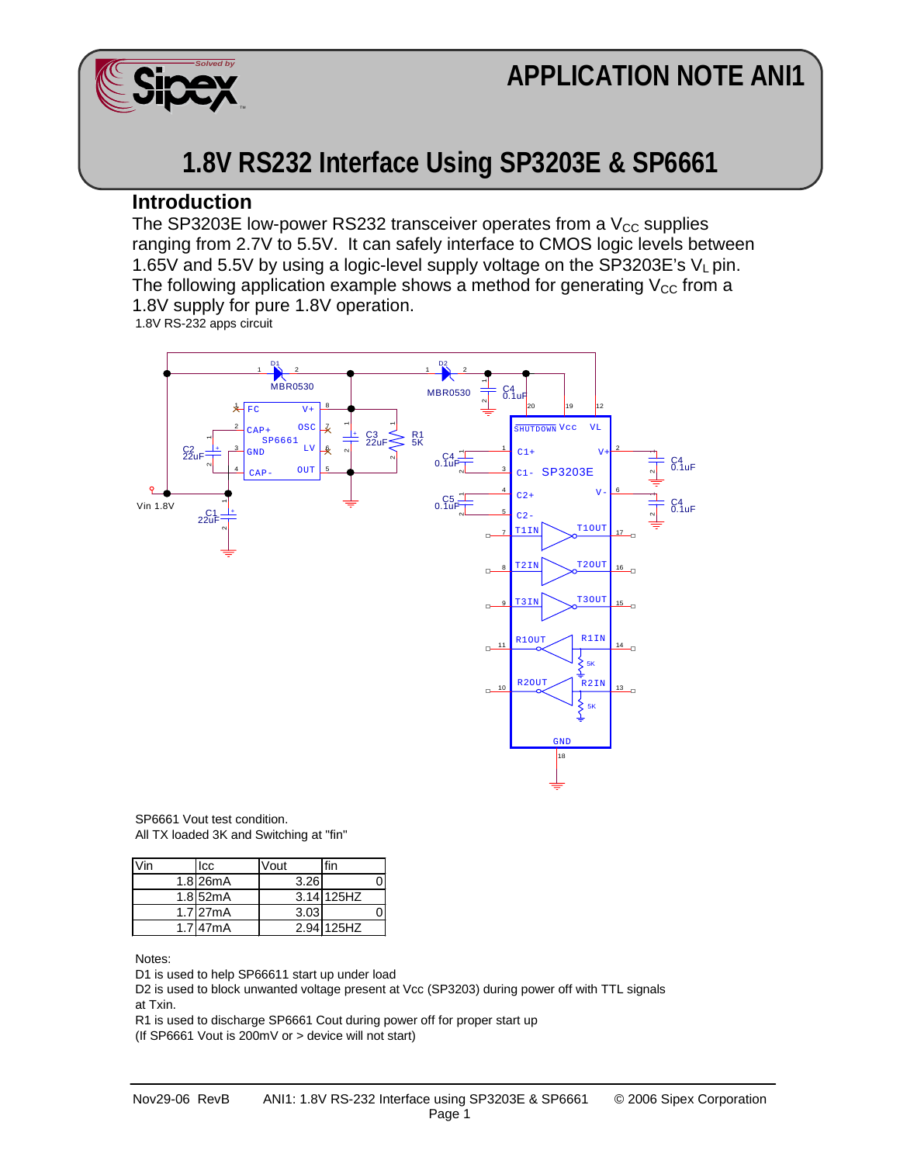## **APPLICATION NOTE ANI1**



## **1.8V RS232 Interface Using SP3203E & SP6661**

## **Introduction**

The SP3203E low-power RS232 transceiver operates from a  $V_{CC}$  supplies ranging from 2.7V to 5.5V. It can safely interface to CMOS logic levels between 1.65V and 5.5V by using a logic-level supply voltage on the SP3203E's  $V_L$  pin. The following application example shows a method for generating  $V_{CC}$  from a 1.8V supply for pure 1.8V operation.

1.8V RS-232 apps circuit



SP6661 Vout test condition. All TX loaded 3K and Switching at "fin"

| Icc           | √out |            |  |
|---------------|------|------------|--|
| $1.8$ 26mA    | 3.26 |            |  |
| $1.8$ 52mA    |      | 3.14 125HZ |  |
| 1.7 27mA      | 3.03 |            |  |
| $1.7$ 47 $mA$ |      | 2.94 125HZ |  |

Notes:

D1 is used to help SP66611 start up under load

D2 is used to block unwanted voltage present at Vcc (SP3203) during power off with TTL signals at Txin.

R1 is used to discharge SP6661 Cout during power off for proper start up

(If SP6661 Vout is 200mV or > device will not start)